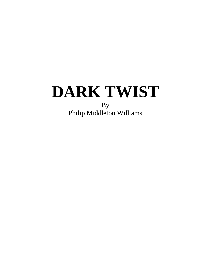Philip Middleton Williams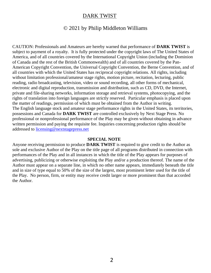#### © 2021 by Philip Middleton Williams

CAUTION: Professionals and Amateurs are hereby warned that performance of **DARK TWIST** is subject to payment of a royalty. It is fully protected under the copyright laws of The United States of America, and of all countries covered by the International Copyright Union (including the Dominion of Canada and the rest of the British Commonwealth) and of all countries covered by the Pan-American Copyright Convention, the Universal Copyright Convention, the Berne Convention, and of all countries with which the United States has reciprocal copyright relations. All rights, including without limitation professional/amateur stage rights, motion picture, recitation, lecturing, public reading, radio broadcasting, television, video or sound recording, all other forms of mechanical, electronic and digital reproduction, transmission and distribution, such as CD, DVD, the Internet, private and file-sharing networks, information storage and retrieval systems, photocopying, and the rights of translation into foreign languages are strictly reserved. Particular emphasis is placed upon the matter of readings, permission of which must be obtained from the Author in writing. The English language stock and amateur stage performance rights in the United States, its territories, possessions and Canada for **DARK TWIST** are controlled exclusively by Next Stage Press. No professional or nonprofessional performance of the Play may be given without obtaining in advance written permission and paying the requisite fee. Inquiries concerning production rights should be addressed to [licensing@nextstagepress.net](mailto:licensing@nextstagepress.net)

#### **SPECIAL NOTE**

Anyone receiving permission to produce **DARK TWIST** is required to give credit to the Author as sole and exclusive Author of the Play on the title page of all programs distributed in connection with performances of the Play and in all instances in which the title of the Play appears for purposes of advertising, publicizing or otherwise exploiting the Play and/or a production thereof. The name of the Author must appear on a separate line, in which no other name appears, immediately beneath the title and in size of type equal to 50% of the size of the largest, most prominent letter used for the title of the Play. No person, firm, or entity may receive credit larger or more prominent than that accorded the Author.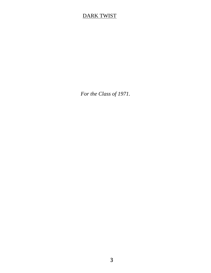*For the Class of 1971.*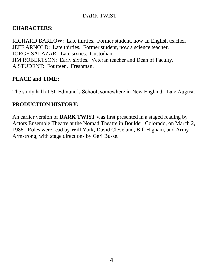#### **CHARACTERS:**

RICHARD BARLOW: Late thirties. Former student, now an English teacher. JEFF ARNOLD: Late thirties. Former student, now a science teacher. JORGE SALAZAR: Late sixties. Custodian. JIM ROBERTSON: Early sixties. Veteran teacher and Dean of Faculty. A STUDENT: Fourteen. Freshman.

#### **PLACE and TIME:**

The study hall at St. Edmund's School, somewhere in New England. Late August.

### **PRODUCTION HISTORY:**

An earlier version of **DARK TWIST** was first presented in a staged reading by Actors Ensemble Theatre at the Nomad Theatre in Boulder, Colorado, on March 2, 1986. Roles were read by Will York, David Cleveland, Bill Higham, and Army Armstrong, with stage directions by Geri Busse.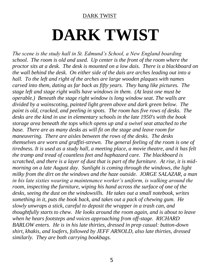# **DARK TWIST**

*The scene is the study hall in St. Edmund's School, a New England boarding school. The room is old and used. Up center is the front of the room where the proctor sits at a desk. The desk is mounted on a low dais. There is a blackboard on the wall behind the desk. On either side of the dais are arches leading out into a hall. To the left and right of the arches are large wooden plaques with names carved into them, dating as far back as fifty years. They hang like pictures. The stage left and stage right walls have windows in them. (At least one must be operable.) Beneath the stage right window is long window seat. The walls are divided by a wainscoting, painted light green above and dark green below. The paint is old, cracked, and peeling in spots. The room has five rows of desks. The desks are the kind in use in elementary schools in the late 1950's with the book storage area beneath the tops which opens up and a swivel seat attached to the base. There are as many desks as will fit on the stage and leave room for maneuvering. There are aisles between the rows of the desks. The desks themselves are worn and graffiti-strewn. The general feeling of the room is one of tiredness. It is used as a study hall, a meeting place, a movie theatre, and it has felt the tramp and tread of countless feet and haphazard care. The blackboard is scratched, and there is a layer of dust that is part of the furniture. At rise, it is midmorning on a late August day. Sunlight is coming through the windows, the light milky from the dirt on the windows and the haze outside. JORGE SALAZAR, a man in his late sixties wearing a maintenance worker's uniform, is walking around the room, inspecting the furniture, wiping his hand across the surface of one of the desks, seeing the dust on the windowsills. He takes out a small notebook, writes something in it, puts the book back, and takes out a pack of chewing gum. He slowly unwraps a stick, careful to deposit the wrapper in a trash can, and thoughtfully starts to chew. He looks around the room again, and is about to leave when he hears footsteps and voices approaching from off-stage. RICHARD BARLOW enters. He is in his late thirties, dressed in prep casual: button-down shirt, khakis, and loafers, followed by JEFF ARNOLD, also late thirties, dressed similarly. They are both carrying bookbags.*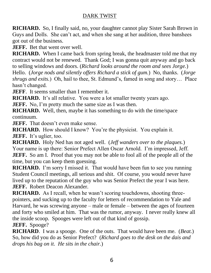**RICHARD.** So, I finally said, no, your daughter cannot play Sister Sarah Brown in Guys and Dolls. She can't act, and when she sang at her audition, three banshees got out of the business.

**JEFF.** Bet that went over well.

**RICHARD.** When I came back from spring break, the headmaster told me that my contract would not be renewed. Thank God; I was gonna quit anyway and go back to selling windows and doors. (*Richard looks around the room and sees Jorge.*)

Hello. (*Jorge nods and silently offers Richard a stick of gum.*) No, thanks. (*Jorge shrugs and exits.*) Oh, hail to thee, St. Edmund's, famed in song and story… Place hasn't changed.

**JEFF.** It seems smaller than I remember it.

**RICHARD.** It's all relative. You were a lot smaller twenty years ago.

**JEFF.** No, I'm pretty much the same size as I was then.

**RICHARD.** Well, then, maybe it has something to do with the time/space continuum.

**JEFF.** That doesn't even make sense.

**RICHARD.** How should I know? You're the physicist. You explain it. **JEFF.** It's uglier, too.

**RICHARD.** Holy Ned has not aged well. (*Jeff wanders over to the plaques.*) Your name is up there: Senior Prefect Allen Oscar Arnold. I'm impressed, Jeff. **JEFF.** So am I. Proof that you may not be able to fool all of the people all of the time, but you can keep them guessing.

**RICHARD.** I'm sorry I missed it. That would have been fun to see you running Student Council meetings, all serious and shit. Of course, you would never have lived up to the reputation of the guy who was Senior Prefect the year I was here. **JEFF.** Robert Deacon Alexander.

**RICHARD.** As I recall, when he wasn't scoring touchdowns, shooting threepointers, and sucking up to the faculty for letters of recommendation to Yale and Harvard, he was screwing anyone – male or female – between the ages of fourteen and forty who smiled at him. That was the rumor, anyway. I never really knew all the inside scoop. Spooges were left out of that kind of gossip.

**JEFF.** Spooge?

**RICHARD**. I was a spooge. One of the outs. That would have been me. (*Beat.*) So, how did you do as Senior Prefect? (*Richard goes to the desk on the dais and drops his bag on it. He sits in the chair.*)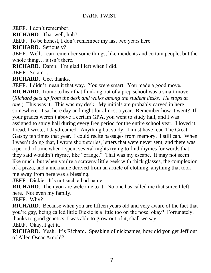**JEFF**. I don't remember.

**RICHARD**. That well, huh?

**JEFF**. To be honest, I don't remember my last two years here.

**RICHARD**. Seriously?

**JEFF.** Well, I can remember some things, like incidents and certain people, but the whole thing… it isn't there.

**RICHARD**. Damn. I'm glad I left when I did.

**JEFF**. So am I.

**RICHARD**. Gee, thanks.

**JEFF**. I didn't mean it that way. You were smart. You made a good move. **RICHARD.** Ironic to hear that flunking out of a prep school was a smart move. (*Richard gets up from the desk and walks among the student desks. He stops at one.*) This was it. This was my desk. My initials are probably carved in here somewhere. I sat here day and night for almost a year. Remember how it went? If your grades weren't above a certain GPA, you went to study hall, and I was assigned to study hall during every free period for the entire school year. I loved it. I read, I wrote, I daydreamed. Anything but study. I must have read The Great Gatsby ten times that year. I could recite passages from memory. I still can. When I wasn't doing that, I wrote short stories, letters that were never sent, and there was a period of time when I spent several nights trying to find rhymes for words that they said wouldn't rhyme, like "orange." That was my escape. It may not seem like much, but when you're a scrawny little geek with thick glasses, the complexion of a pizza, and a nickname derived from an article of clothing, anything that took me away from here was a blessing.

**JEFF.** Dickie. It's not such a bad name.

**RICHARD**. Then you are welcome to it. No one has called me that since I left here. Not even my family.

**JEFF**. Why?

**RICHARD**. Because when you are fifteen years old and very aware of the fact that you're gay, being called little Dickie is a little too on the nose, okay? Fortunately, thanks to good genetics, I was able to grow out of it, shall we say.

**JEFF**. Okay, I get it.

**RICHARD**. Yeah. It's Richard. Speaking of nicknames, how did you get Jeff out of Allen Oscar Arnold?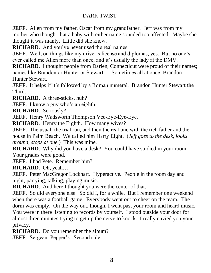**JEFF**. Allen from my father, Oscar from my grandfather. Jeff was from my mother who thought that a baby with either name sounded too affected. Maybe she thought it was manly. Little did she know.

**RICHARD**. And you've never used the real names.

**JEFF**. Well, on things like my driver's license and diplomas, yes. But no one's ever called me Allen more than once, and it's usually the lady at the DMV.

**RICHARD.** I thought people from Darien, Connecticut were proud of their names; names like Brandon or Hunter or Stewart… Sometimes all at once. Brandon Hunter Stewart.

**JEFF.** It helps if it's followed by a Roman numeral. Brandon Hunter Stewart the Third.

**RICHARD**. A three-sticks, huh?

**JEFF.** I know a guy who's an eighth.

**RICHARD**. Seriously?

**JEFF.** Henry Wadsworth Thompson Vee-Eye-Eye-Eye.

**RICHARD**. Henry the Eighth. How many wives?

**JEFF**. The usual; the trial run, and then the real one with the rich father and the house in Palm Beach. We called him Harry Eight. (*Jeff goes to the desk, looks around, stops at one.*) This was mine.

**RICHARD**. Why did you have a desk? You could have studied in your room. Your grades were good.

**JEFF.** I had Pete. Remember him?

**RICHARD**. Oh, yeah…

**JEFF.** Peter MacGregor Lockhart. Hyperactive. People in the room day and night, partying, talking, playing music.

**RICHARD**. And here I thought you were the center of that.

**JEFF**. So did everyone else. So did I, for a while. But I remember one weekend when there was a football game. Everybody went out to cheer on the team. The dorm was empty. On the way out, though, I went past your room and heard music. You were in there listening to records by yourself. I stood outside your door for almost three minutes trying to get up the nerve to knock. I really envied you your privacy.

**RICHARD.** Do you remember the album?

**JEFF.** Sergeant Pepper's. Second side.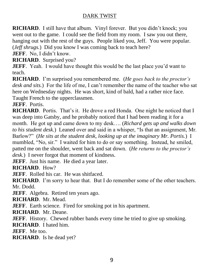**RICHARD.** I still have that album. Vinyl forever. But you didn't knock; you went out to the game. I could see the field from my room. I saw you out there, hanging out with the rest of the guys. People liked you, Jeff. You were popular. (*Jeff shrugs.*) Did you know I was coming back to teach here?

JEFF. No, I didn't know.

**RICHARD**. Surprised you?

**JEFF.** Yeah. I would have thought this would be the last place you'd want to teach.

**RICHARD**. I'm surprised you remembered me. (*He goes back to the proctor's desk and sits.*) For the life of me, I can't remember the name of the teacher who sat here on Wednesday nights. He was short, kind of bald, had a rather nice face. Taught French to the upperclassmen.

**JEFF**. Portis.

**RICHARD.** Portis. That's it. He drove a red Honda. One night he noticed that I was deep into Gatsby, and he probably noticed that I had been reading it for a month. He got up and came down to my desk…. (*Richard gets up and walks down to his student desk.*) Leaned over and said in a whisper, "Is that an assignment, Mr. Barlow?" (*He sits at the student desk, looking up at the imaginary Mr. Portis.*) I mumbled, "No, sir." I waited for him to do or say something. Instead, he smiled, patted me on the shoulder, went back and sat down. (*He returns to the proctor's desk.*) I never forgot that moment of kindness.

**JEFF.** Just his name. He died a year later.

**RICHARD**. How?

**JEFF.** Rolled his car. He was shitfaced.

**RICHARD.** I'm sorry to hear that. But I do remember some of the other teachers. Mr. Dodd.

**JEFF.** Algebra. Retired ten years ago.

**RICHARD**. Mr. Mead.

**JEFF.** Earth science. Fired for smoking pot in his apartment.

**RICHARD**. Mr. Deane.

**JEFF.** History. Chewed rubber bands every time he tried to give up smoking.

**RICHARD**. I hated him.

**JEFF**. Me too.

**RICHARD**. Is he dead yet?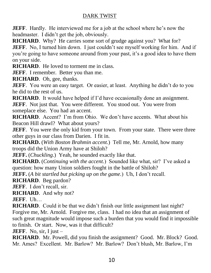**JEFF**. Hardly. He interviewed me for a job at the school where he's now the headmaster. I didn't get the job, obviously.

**RICHARD.** Why? He carries some sort of grudge against you? What for? **JEFF**. No, I turned him down. I just couldn't see myself working for him. And if you're going to have someone around from your past, it's a good idea to have them on your side.

**RICHARD**. He loved to torment me in class.

**JEFF.** I remember. Better you than me.

**RICHARD**. Oh, gee, thanks.

**JEFF**. You were an easy target. Or easier, at least. Anything he didn't do to you he did to the rest of us.

**RICHARD.** It would have helped if I'd have occasionally done an assignment.

**JEFF**. Not just that. You were different. You stood out. You were from someplace else. You had an accent.

**RICHARD.** Accent? I'm from Ohio. We don't have accents. What about his Beacon Hill drawl? What about yours?

**JEFF.** You were the only kid from your town. From your state. There were three other guys in our class from Darien. I fit in.

**RICHARD.** (*With Boston Brahmin accent.*) Tell me, Mr. Arnold, how many troops did the Union Army have at Shiloh?

**JEFF.** (*Chuckling.*) Yeah, he sounded exactly like that.

**RICHARD.** (*Continuing with the accent.*) Sounded like what, sir? I've asked a question: how many Union soldiers fought in the battle of Shiloh?

**JEFF.** (*A bit startled but picking up on the game.*) Uh, I don't recall.

**RICHARD**. Beg pardon?

**JEFF.** I don't recall, sir.

**RICHARD**. And why not?

**JEFF**. Uh…

**RICHARD.** Could it be that we didn't finish our little assignment last night? Forgive me, Mr. Arnold. Forgive me, class. I had no idea that an assignment of such great magnitude would impose such a burden that you would find it impossible to finish. Or start. Now, was it that difficult?

**JEFF**. No, sir, I just –

**RICHARD**. Mr. Powell, did you finish the assignment? Good. Mr. Block? Good. Mr. Ames? Excellent. Mr. Barlow? Mr. Barlow? Don't blush, Mr. Barlow, I'm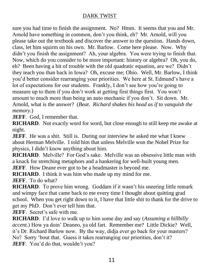sure you had time to finish the assignment. No? Hmm. It seems that you and Mr. Arnold have something in common, don't you think, eh? Mr. Arnold, will you please take out the textbook and discover the answer to the question. Hands down, class, let him squirm on his own. Mr. Barlow. Come here please. Now. Why didn't you finish the assignment? Ah, your algebra. You were trying to finish that. Now, which do you consider to be more important: history or algebra? Oh, you do, eh? Been having a bit of trouble with the old quadratic equation, are we? Didn't they teach you than back in Iowa? Oh, excuse me; Ohio. Well, Mr. Barlow, I think you'd better consider rearranging your priorities. We here at St. Edmund's have a lot of expectations for our students. Frankly, I don't see how you're going to measure up to them if you don't work at getting first things first. You won't amount to much more than being an auto mechanic if you don't. Sit down. Mr. Arnold, what is the answer? (*Beat. Richard shakes his head as if to vanquish the memory.*)

**JEFF**. God, I remember that.

**RICHARD.** Not exactly word for word, but close enough to still keep me awake at night.

**JEFF**. He was a shit. Still is. During our interview he asked me what I knew about Herman Melville. I told him that unless Melville won the Nobel Prize for physics, I didn't know anything about him.

**RICHARD**. Melville? For God's sake. Melville was an obsessive little man with a knack for stretching metaphors and a hankering for well-built young men.

**JEFF.** How Deane ever got to be a headmaster is beyond me.

**RICHARD**. I think it was him who made up my mind for me.

**JEFF**. To do what?

**RICHARD.** To prove him wrong. Goddam if it wasn't his sneering little remark and wimpy face that came back to me every time I thought about quitting grad school. When you get right down to it, I have that little shit to thank for the drive to get my PhD. Don't ever tell him that.

**JEFF**. Secret's safe with me.

**RICHARD**. I'd love to walk up to him some day and say (*Assuming a hillbilly accent.*) How ya doin' Deaneo, ya old fart. Remember me? Little Dickie? Well, it's Dr. Richard Barlow now. By the way, didja ever go back for your masters? No? Sorry 'bout that. Guess it takes rearranging our priorities, don't it? **JEFF**. You'd do that, wouldn't you?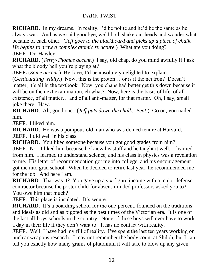**RICHARD.** In my dreams. In reality, I'd be polite and he'd be the same as he always was. And as we said goodbye, we'd both shake our heads and wonder what became of each other. (*Jeff goes to the blackboard and picks up a piece of chalk. He begins to draw a complex atomic structure.*) What are you doing? **JEFF**. Dr. Hawley.

**RICHARD.** (*Terry-Thomas accent.*) I say, old chap, do you mind awfully if I ask what the bloody hell you're playing at?

**JEFF.** (*Same accent.*) By Jove, I'd be absolutely delighted to explain. (*Gesticulating wildly.*) Now, this is the proton… or is it the neutron? Doesn't matter, it's all in the textbook. Now, you chaps had better get this down because it will be on the next examination, eh what? Now, here is the basis of life, of all existence, of all matter… and of all anti-matter, for that matter. Oh, I say, small joke there. Haw.

**RICHARD**. Ah, good one. (*Jeff puts down the chalk. Beat.*) Go on, you nailed him.

**JEFF**. I liked him.

**RICHARD**. He was a pompous old man who was denied tenure at Harvard. **JEFF.** I did well in his class.

**RICHARD**. You liked someone because you got good grades from him? **JEFF**. No. I liked him because he knew his stuff and he taught it well. I learned from him. I learned to understand science, and his class in physics was a revelation to me. His letter of recommendation got me into college, and his encouragement got me into grad school. When he decided to retire last year, he recommended me for the job. And here I am.

**RICHARD.** That was it? You gave up a six-figure income with a major defense contractor because the poster child for absent-minded professors asked you to? You owe him that much?

**JEFF.** This place is insulated. It's secure.

**RICHARD**. It's a boarding school for the one-percent, founded on the traditions and ideals as old and as bigoted as the best times of the Victorian era. It is one of the last all-boys schools in the country. None of these boys will ever have to work a day in their life if they don't want to. It has no contact with reality.

**JEFF.** Well, I have had my fill of reality. I've spent the last ten years working on nuclear weapons research. I may not remember the body count at Shiloh, but I can tell you exactly how many grams of plutonium it will take to blow up any given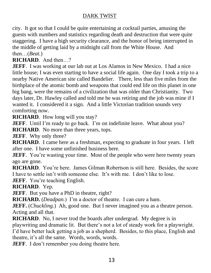city. It got so that I could be quite entertaining at cocktail parties, amusing the guests with numbers and statistics regarding death and destruction that were quite staggering. I have a high security clearance, and the honor of being interrupted in the middle of getting laid by a midnight call from the White House. And then…(*Beat.*)

**RICHARD**. And then…?

**JEFF**. I was working at our lab out at Los Alamos in New Mexico. I had a nice little house; I was even starting to have a social life again. One day I took a trip to a nearby Native American site called Bandelier. There, less than five miles from the birthplace of the atomic bomb and weapons that could end life on this planet in one big bang, were the remains of a civilization that was older than Christianity. Two days later, Dr. Hawley called and told me he was retiring and the job was mine if I wanted it. I considered it a sign. And a little Victorian tradition sounds very comforting now.

**RICHARD**. How long will you stay?

**JEFF**. Until I'm ready to go back. I'm on indefinite leave. What about you?

**RICHARD**. No more than three years, tops.

**JEFF.** Why only three?

**RICHARD**. I came here as a freshman, expecting to graduate in four years. I left after one. I have some unfinished business here.

**JEFF.** You're wasting your time. Most of the people who were here twenty years ago are gone.

**RICHARD**. You're here. James Gilman Robertson is still here. Besides, the score I have to settle isn't with someone else. It's with me. I don't like to lose.

**JEFF.** You're teaching English.

**RICHARD**. Yep.

**JEFF.** But you have a PhD in theatre, right?

**RICHARD.** (*Deadpan.*) I'm a doctor of theatre. I can cure a ham.

**JEFF.** (*Chuckling.*) Ah, good one. But I never imagined you as a theatre person. Acting and all that.

**RICHARD**. No, I never trod the boards after undergrad. My degree is in playwriting and dramatic lit. But there's not a lot of steady work for a playwright. I'd have better luck getting a job as a shepherd. Besides, to this place, English and theatre, it's all the same. Words, words, words.

**JEFF**. I don't remember you doing theatre here.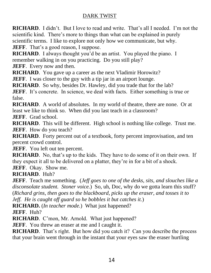**RICHARD**. I didn't. But I love to read and write. That's all I needed. I'm not the scientific kind. There's more to things than what can be explained in purely scientific terms. I like to explore not only how we communicate, but why. **JEFF.** That's a good reason, I suppose.

**RICHARD.** I always thought you'd be an artist. You played the piano. I remember walking in on you practicing. Do you still play?

**JEFF.** Every now and then.

**RICHARD**. You gave up a career as the next Vladimir Horowitz?

**JEFF**. I was closer to the guy with a tip jar in an airport lounge.

**RICHARD.** So why, besides Dr. Hawley, did you trade that for the lab?

**JEFF**. It's concrete. In science, we deal with facts. Either something is true or false.

**RICHARD**. A world of absolutes. In my world of theatre, there are none. Or at least we like to think so. When did you last teach in a classroom?

**JEFF.** Grad school.

**RICHARD**. This will be different. High school is nothing like college. Trust me. **JEFF**. How do you teach?

**RICHARD.** Forty percent out of a textbook, forty percent improvisation, and ten percent crowd control.

**JEFF.** You left out ten percent.

**RICHARD.** No, that's up to the kids. They have to do some of it on their own. If they expect it all to be delivered on a platter, they're in for a bit of a shock.

**JEFF**. Okay. Show me.

**RICHARD**. Huh?

**JEFF**. Teach me something. (*Jeff goes to one of the desks, sits, and slouches like a disconsolate student. Stoner voice.*) So, uh, Doc, why do we gotta learn this stuff? (*Richard grins, then goes to the blackboard, picks up the eraser, and tosses it to Jeff. He is caught off guard so he bobbles it but catches it.*)

**RICHARD.** (*In teacher mode.*) What just happened?

**JEFF**. Huh?

**RICHARD**. C'mon, Mr. Arnold. What just happened?

**JEFF.** You threw an eraser at me and I caught it.

**RICHARD.** That's right. But how did you catch it? Can you describe the process that your brain went through in the instant that your eyes saw the eraser hurtling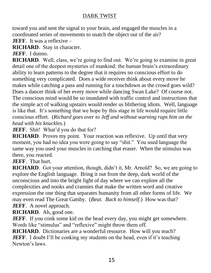toward you and sent the signal to your brain, and engaged the muscles in a coordinated series of movements to snatch the object out of the air?

**JEFF.** It was a reflexive –

**RICHARD**. Stay in character.

**JEFF**. I dunno.

**RICHARD**. Well, class, we're going to find out. We're going to examine in great detail one of the deepest mysteries of mankind: the human brain's extraordinary ability to learn patterns to the degree that it requires no conscious effort to do something very complicated. Does a wide receiver think about every move he makes while catching a pass and running for a touchdown as the crowd goes wild? Does a dancer think of her every move while dancing Swan Lake? Of course not. The conscious mind would be so inundated with traffic control and instructions that the simple act of walking upstairs would render us blithering idiots. Well, language is like that. It's something that we hope by this stage in life would require little conscious effort. (*Richard goes over to Jeff and without warning raps him on the head with his knuckles.*)

**JEFF**. Shit! What'd you do that for?

**RICHARD.** Proves my point. Your reaction was reflexive. Up until that very moment, you had no idea you were going to say "shit." You used language the same way you used your muscles in catching that eraser. When the stimulus was there, you reacted.

**JEFF**. That hurt.

**RICHARD**. Got your attention, though, didn't it, Mr. Arnold? So, we are going to explore the English language. Bring it out from the deep, dark world of the unconscious and into the bright light of day where we can explore all the complexities and nooks and crannies that make the written word and creative expression the one thing that separates humanity from all other forms of life. We may even read The Great Gatsby. (*Beat. Back to himself.*) How was that? **JEFF.** A novel approach.

**RICHARD**. Ah, good one.

**JEFF**. If you conk some kid on the head every day, you might get somewhere. Words like "stimulus" and "reflexive" might throw them off.

**RICHARD.** Dictionaries are a wonderful resource. How will you teach? **JEFF**. I doubt I'll be conking my students on the head, even if it's teaching Newton's laws.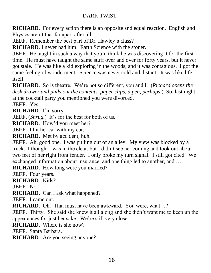**RICHARD.** For every action there is an opposite and equal reaction. English and Physics aren't that far apart after all.

**JEFF.** Remember the best part of Dr. Hawley's class?

**RICHARD**. I never had him. Earth Science with the stoner.

**JEFF**. He taught in such a way that you'd think he was discovering it for the first time. He must have taught the same stuff over and over for forty years, but it never got stale. He was like a kid exploring in the woods, and it was contagious. I got the same feeling of wonderment. Science was never cold and distant. It was like life itself.

**RICHARD**. So is theatre. We're not so different, you and I. (*Richard opens the desk drawer and pulls out the contents. paper clips, a pen, perhaps.*) So, last night at the cocktail party you mentioned you were divorced.

**JEFF**. Yes.

**RICHARD**. I'm sorry.

**JEFF.** (*Shrug.*) It's for the best for both of us.

**RICHARD**. How'd you meet her?

**JEFF**. I hit her car with my car.

**RICHARD**. Met by accident, huh.

**JEFF**. Ah, good one. I was pulling out of an alley. My view was blocked by a truck. I thought I was in the clear, but I didn't see her coming and took out about two feet of her right front fender. I only broke my turn signal. I still got cited. We exchanged information about insurance, and one thing led to another, and …

**RICHARD**. How long were you married?

**JEFF**. Four years.

**RICHARD**. Kids?

**JEFF**. No.

**RICHARD**. Can I ask what happened?

**JEFF**. I came out.

**RICHARD**. Oh. That must have been awkward. You were, what…?

**JEFF**. Thirty. She said she knew it all along and she didn't want me to keep up the appearances for just her sake. We're still very close.

**RICHARD**. Where is she now?

**JEFF**. Santa Barbara.

**RICHARD**. Are you seeing anyone?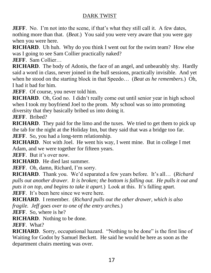**JEFF**. No. I'm not into the scene, if that's what they still call it. A few dates, nothing more than that. (*Beat.*) You said you were very aware that you were gay when you were here.

**RICHARD.** Uh huh. Why do you think I went out for the swim team? How else was I going to see Sam Collier practically naked?

**JEFF**. Sam Collier…

**RICHARD**. The body of Adonis, the face of an angel, and unbearably shy. Hardly said a word in class, never joined in the bull sessions, practically invisible. And yet when he stood on the starting block in that Speedo… (*Beat as he remembers.*) Oh, I had it bad for him.

**JEFF.** Of course, you never told him.

**RICHARD**. Oh, God no. I didn't really come out until senior year in high school when I took my boyfriend Joel to the prom. My school was so into promoting diversity that they basically bribed us into doing it.

**JEFF**. Bribed?

**RICHARD**. They paid for the limo and the tuxes. We tried to get them to pick up the tab for the night at the Holiday Inn, but they said that was a bridge too far. **JEFF**. So, you had a long-term relationship.

**RICHARD**. Not with Joel. He went his way, I went mine. But in college I met Adam, and we were together for fifteen years.

**JEFF.** But it's over now.

**RICHARD**. He died last summer.

**JEFF.** Oh, damn, Richard, I'm sorry.

**RICHARD**. Thank you. We'd separated a few years before. It's all… (*Richard pulls out another drawer. It is broken; the bottom is falling out. He pulls it out and puts it on top, and begins to take it apart.*) Look at this. It's falling apart. **JEFF.** It's been here since we were here.

**RICHARD**. I remember. (*Richard pulls out the other drawer, which is also fragile. Jeff goes over to one of the entry arches.*)

**JEFF**. So, where is he?

**RICHARD**. Nothing to be done.

**JEFF**. What?

**RICHARD.** Sorry, occupational hazard. "Nothing to be done" is the first line of Waiting for Godot by Samuel Beckett. He said he would be here as soon as the department chairs meeting was over.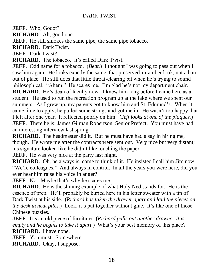**JEFF**. Who, Godot?

**RICHARD**. Ah, good one.

**JEFF.** He still smokes the same pipe, the same pipe tobacco.

**RICHARD**. Dark Twist.

**JEFF**. Dark Twist?

**RICHARD**. The tobacco. It's called Dark Twist.

**JEFF**. Odd name for a tobacco. (*Beat.*) I thought I was going to pass out when I saw him again. He looks exactly the same, that preserved-in-amber look, not a hair out of place. He still does that little throat-clearing bit when he's trying to sound philosophical. "Ahem." He scares me. I'm glad he's not my department chair. **RICHARD.** He's dean of faculty now. I knew him long before I came here as a student. He used to run the recreation program up at the lake where we spent our summers. As I grew up, my parents got to know him and St. Edmund's. When it came time to apply, he pulled some strings and got me in. He wasn't too happy that I left after one year. It reflected poorly on him. (*Jeff looks at one of the plaques.*) **JEFF.** There he is: James Gilman Robertson, Senior Prefect. You must have had an interesting interview last spring.

**RICHARD**. The headmaster did it. But he must have had a say in hiring me, though. He wrote me after the contracts were sent out. Very nice but very distant; his signature looked like he didn't like touching the paper.

**JEFF.** He was very nice at the party last night.

**RICHARD**. Oh, he always is, come to think of it. He insisted I call him Jim now. "We're colleagues." And always in control. In all the years you were here, did you ever hear him raise his voice in anger?

**JEFF.** No. Maybe that's why he scares me.

**RICHARD**. He is the shining example of what Holy Ned stands for. He is the essence of prep. He'll probably be buried here in his letter sweater with a tin of Dark Twist at his side. (*Richard has taken the drawer apart and laid the pieces on the desk in neat piles.*) Look, it's put together without glue. It's like one of those Chinese puzzles.

**JEFF**. It's an old piece of furniture. (*Richard pulls out another drawer. It is empty and he begins to take it apart.*) What's your best memory of this place? **RICHARD**. I have none.

**JEFF**. You must. Somewhere.

**RICHARD**. Okay, I suppose.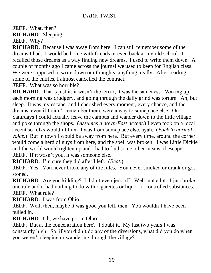**JEFF**. What, then? **RICHARD**. Sleeping.

**JEFF**. Why?

**RICHARD**. Because I was away from here. I can still remember some of the dreams I had. I would be home with friends or even back at my old school. I recalled those dreams as a way finding new dreams. I used to write them down. A couple of months ago I came across the journal we used to keep for English class. We were supposed to write down our thoughts, anything, really. After reading some of the entries, I almost cancelled the contract.

**JEFF.** What was so horrible?

**RICHARD**. That's just it; it wasn't the terror; it was the sameness. Waking up each morning was drudgery, and going through the daily grind was torture. Ah, but sleep. It was my escape, and I cherished every moment, every chance, and the dreams, even if I didn't remember them, were a way to someplace else. On Saturdays I could actually leave the campus and wander down to the little village and poke through the shops. (*Assumes a down-East accent.*) I even took on a local accent so folks wouldn't think I was from someplace else, ayah. (*Back to normal voice.*) But in town I would be away from here. But every time, around the corner would come a herd of guys from here, and the spell was broken. I was Little Dickie and the world would tighten up and I had to find some other means of escape.

**JEFF.** If it wasn't you, it was someone else.

**RICHARD**. I'm sure they did after I left. (*Beat.*)

**JEFF.** Yes. You never broke any of the rules. You never smoked or drank or got stoned.

**RICHARD**. Are you kidding? I didn't even jerk off. Well, not a lot. I just broke one rule and it had nothing to do with cigarettes or liquor or controlled substances. **JEFF**. What rule?

**RICHARD**. I was from Ohio.

**JEFF**. Well, then, maybe it was good you left, then. You wouldn't have been pulled in.

**RICHARD**. Uh, we have pot in Ohio.

**JEFF**. But at the concentration here? I doubt it. My last two years I was constantly high. So, if you didn't do any of the diversions, what did you do when you weren't sleeping or wandering through the village?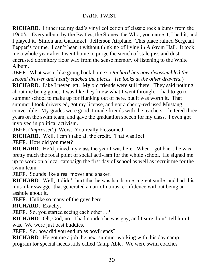**RICHARD**. I inherited my dad's vinyl collection of classic rock albums from the 1960's. Every album by the Beatles, the Stones, the Who; you name it, I had it, and I played it. Simon and Garfunkel. Jefferson Airplane. This place ruined Sergeant Pepper's for me. I can't hear it without thinking of living in Ankrom Hall. It took me a whole year after I went home to purge the stench of stale piss and dustencrusted dormitory floor wax from the sense memory of listening to the White Album.

**JEFF**. What was it like going back home? (*Richard has now disassembled the second drawer and neatly stacked the pieces. He looks at the other drawers.*)

**RICHARD.** Like I never left. My old friends were still there. They said nothing about me being gone; it was like they knew what I went through. I had to go to summer school to make up for flunking out of here, but it was worth it. That summer I took drivers ed, got my license, and got a cherry-red used Mustang convertible. My grades were good, I made friends with the teachers, I lettered three years on the swim team, and gave the graduation speech for my class. I even got involved in political activism.

**JEFF.** (*Impressed.*) Wow. You really blossomed.

**RICHARD**. Well, I can't take all the credit. That was Joel.

**JEFF**. How did you meet?

**RICHARD**. He'd joined my class the year I was here. When I got back, he was pretty much the focal point of social activism for the whole school. He signed me up to work on a local campaign the first day of school as well as recruit me for the swim team.

**JEFF**. Sounds like a real mover and shaker.

**RICHARD**. Well, it didn't hurt that he was handsome, a great smile, and had this muscular swagger that generated an air of utmost confidence without being an asshole about it.

**JEFF.** Unlike so many of the guys here.

**RICHARD**. Exactly.

**JEFF**. So, you started seeing each other...?

**RICHARD**. Oh, God, no. I had no idea he was gay, and I sure didn't tell him I was. We were just best buddies.

**JEFF.** So, how did you end up as boyfriends?

**RICHARD**. He got me a job the next summer working with this day camp program for special-needs kids called Camp Able. We were swim coaches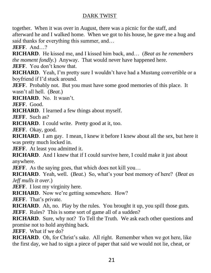together. When it was over in August, there was a picnic for the staff, and afterward he and I walked home. When we got to his house, he gave me a hug and said thanks for everything this summer, and…

**JEFF**. And…?

**RICHARD**. He kissed me, and I kissed him back, and… (*Beat as he remembers the moment fondly.*) Anyway. That would never have happened here. **JEFF.** You don't know that.

**RICHARD**. Yeah, I'm pretty sure I wouldn't have had a Mustang convertible or a boyfriend if I'd stuck around.

**JEFF.** Probably not. But you must have some good memories of this place. It wasn't all hell. (*Beat.*)

**RICHARD**. No. It wasn't.

**JEFF**. Good.

**RICHARD**. I learned a few things about myself.

**JEFF**. Such as?

**RICHARD**. I could write. Pretty good at it, too.

**JEFF**. Okay, good.

**RICHARD**. I am gay. I mean, I knew it before I knew about all the sex, but here it was pretty much locked in.

**JEFF.** At least you admitted it.

**RICHARD.** And I knew that if I could survive here, I could make it just about anywhere.

**JEFF.** As the saying goes, that which does not kill you...

**RICHARD**. Yeah, well. (*Beat.*) So, what's your best memory of here? (*Beat as Jeff mulls it over.*)

**JEFF.** I lost my virginity here.

**RICHARD.** Now we're getting somewhere. How?

**JEFF**. That's private.

**RICHARD**. Ah, no. Play by the rules. You brought it up, you spill those guts.

**JEFF.** Rules? This is some sort of game all of a sudden?

**RICHARD.** Sure, why not? To Tell the Truth. We ask each other questions and promise not to hold anything back.

**JEFF**. What if we do?

**RICHARD**. Oh, for Christ's sake. All right. Remember when we got here, like the first day, we had to sign a piece of paper that said we would not lie, cheat, or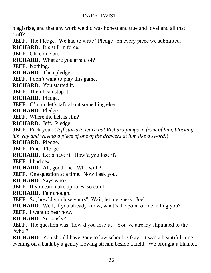plagiarize, and that any work we did was honest and true and loyal and all that stuff?

**JEFF**. The Pledge. We had to write "Pledge" on every piece we submitted.

**RICHARD**. It's still in force.

**JEFF**. Oh, come on.

**RICHARD**. What are you afraid of?

**JEFF**. Nothing.

**RICHARD**. Then pledge.

**JEFF.** I don't want to play this game.

**RICHARD**. You started it.

**JEFF**. Then I can stop it.

**RICHARD**. Pledge.

**JEFF.** C'mon, let's talk about something else.

**RICHARD**. Pledge.

**JEFF.** Where the hell is Jim?

**RICHARD**. Jeff. Pledge.

**JEFF**. Fuck you. (*Jeff starts to leave but Richard jumps in front of him, blocking his way and waving a piece of one of the drawers at him like a sword.*)

**RICHARD**. Pledge.

**JEFF**. Fine. Pledge.

**RICHARD**. Let's have it. How'd you lose it?

**JEFF**. I had sex.

**RICHARD**. Ah, good one. Who with?

**JEFF**. One question at a time. Now I ask you.

**RICHARD**. Says who?

**JEFF**. If you can make up rules, so can I.

**RICHARD**. Fair enough.

**JEFF**. So, how'd you lose yours? Wait, let me guess. Joel.

**RICHARD.** Well, if you already know, what's the point of me telling you?

**JEFF**. I want to hear how.

**RICHARD**. Seriously?

**JEFF**. The question was "how'd you lose it." You've already stipulated to the "who."

**RICHARD**. You should have gone to law school. Okay. It was a beautiful June evening on a bank by a gently-flowing stream beside a field. We brought a blanket,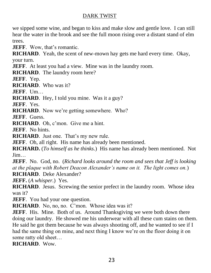we sipped some wine, and began to kiss and make slow and gentle love. I can still hear the water in the brook and see the full moon rising over a distant stand of elm trees.

**JEFF**. Wow, that's romantic.

**RICHARD**. Yeah, the scent of new-mown hay gets me hard every time. Okay, your turn.

**JEFF.** At least you had a view. Mine was in the laundry room.

**RICHARD**. The laundry room here?

**JEFF**. Yep.

**RICHARD**. Who was it?

**JEFF**. Um…

**RICHARD**. Hey, I told you mine. Was it a guy?

**JEFF**. Yes.

**RICHARD**. Now we're getting somewhere. Who?

**JEFF**. Guess.

**RICHARD**. Oh, c'mon. Give me a hint.

**JEFF**. No hints.

**RICHARD**. Just one. That's my new rule.

**JEFF.** Oh, all right. His name has already been mentioned.

**RICHARD.** (*To himself as he thinks.*) His name has already been mentioned. Not Jim…

**JEFF**. No. God, no. (*Richard looks around the room and sees that Jeff is looking at the plaque with Robert Deacon Alexander's name on it. The light comes on.*) **RICHARD**. Deke Alexander?

**JEFF.** (*A whisper.*) Yes.

**RICHARD**. Jesus. Screwing the senior prefect in the laundry room. Whose idea was it?

**JEFF**. You had your one question.

**RICHARD**. No, no, no. C'mon. Whose idea was it?

**JEFF.** His. Mine. Both of us. Around Thanksgiving we were both down there doing our laundry. He showed me his underwear with all these cum stains on them. He said he got them because he was always shooting off, and he wanted to see if I had the same thing on mine, and next thing I know we're on the floor doing it on some ratty old sheet…

**RICHARD**. Wow.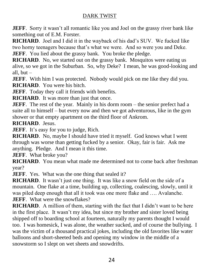**JEFF**. Sorry it wasn't all romantic like you and Joel on the grassy river bank like something out of E.M. Forster.

**RICHARD**. Joel and I did it in the wayback of his dad's SUV. We fucked like two horny teenagers because that's what we were. And so were you and Deke. **JEFF.** You lied about the grassy bank. You broke the pledge.

**RICHARD.** No, we started out on the grassy bank. Mosquitos were eating us alive, so we got in the Suburban. So, why Deke? I mean, he was good-looking and all, but  $-$ 

**JEFF**. With him I was protected. Nobody would pick on me like they did you. **RICHARD**. You were his bitch.

**JEFF.** Today they call it friends with benefits.

**RICHARD**. It was more than just that once.

**JEFF**. The rest of the year. Mainly in his dorm room – the senior prefect had a suite all to himself – but every now and then we got adventurous, like in the gym shower or that empty apartment on the third floor of Ankrom.

**RICHARD**. Jesus.

**JEFF.** It's easy for you to judge, Rich.

**RICHARD**. No, maybe I should have tried it myself. God knows what I went through was worse than getting fucked by a senior. Okay, fair is fair. Ask me anything. Pledge. And I mean it this time.

**JEFF**. What broke you?

**RICHARD**. You mean what made me determined not to come back after freshman year?

**JEFF.** Yes. What was the one thing that sealed it?

**RICHARD.** It wasn't just one thing. It was like a snow field on the side of a mountain. One flake at a time, building up, collecting, coalescing, slowly, until it was piled deep enough that all it took was one more flake and …. Avalanche. **JEFF.** What were the snowflakes?

**RICHARD.** A million of them, starting with the fact that I didn't want to be here in the first place. It wasn't my idea, but since my brother and sister loved being shipped off to boarding school at fourteen, naturally my parents thought I would too. I was homesick, I was alone, the weather sucked, and of course the bullying. I was the victim of a thousand practical jokes, including the old favorites like water balloons and short-sheeted beds and opening my window in the middle of a snowstorm so I slept on wet sheets and snowdrifts.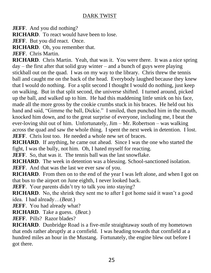**JEFF.** And you did nothing?

**RICHARD**. To react would have been to lose.

**JEFF.** But you did react. Once.

**RICHARD**. Oh, you remember that.

**JEFF**. Chris Martin.

**RICHARD**. Chris Martin. Yeah, that was it. You were there. It was a nice spring  $day -$  the first after that solid gray winter – and a bunch of guys were playing stickball out on the quad. I was on my way to the library. Chris threw the tennis ball and caught me on the back of the head. Everybody laughed because they knew that I would do nothing. For a split second I thought I would do nothing, just keep on walking. But in that split second, the universe shifted. I turned around, picked up the ball, and walked up to him. He had this maddening little smirk on his face, made all the more gross by the cookie crumbs stuck in his braces. He held out his hand and said, "Gimme the ball, Dickie." I smiled, then punched him in the mouth, knocked him down, and to the great surprise of everyone, including me, I beat the ever-loving shit out of him. Unfortunately, Jim – Mr. Robertson – was walking across the quad and saw the whole thing. I spent the next week in detention. I lost. **JEFF.** Chris lost too. He needed a whole new set of braces.

**RICHARD**. If anything, he came out ahead. Since I was the one who started the fight, I was the bully, not him. Oh, I hated myself for reacting.

**JEFF**. So, that was it. The tennis ball was the last snowflake.

**RICHARD**. The week in detention was a blessing. School-sanctioned isolation. **JEFF.** And that was the last we ever saw of you.

**RICHARD.** From then on to the end of the year I was left alone, and when I got on that bus to the airport on June eighth, I never looked back.

**JEFF.** Your parents didn't try to talk you into staying?

**RICHARD**. No, the shrink they sent me to after I got home said it wasn't a good idea. I had already…(*Beat.*)

**JEFF.** You had already what?

**RICHARD**. Take a guess. (*Beat.*)

**JEFF**. Pills? Razor blades?

**RICHARD**. Dunbridge Road is a five-mile straightaway south of my hometown that ends rather abruptly at a cornfield. I was heading towards that cornfield at a hundred miles an hour in the Mustang. Fortunately, the engine blew out before I got there.